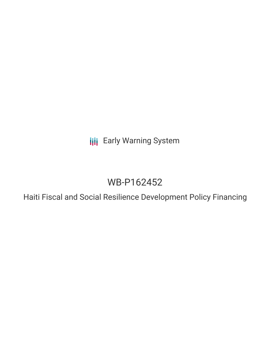**III** Early Warning System

## WB-P162452

Haiti Fiscal and Social Resilience Development Policy Financing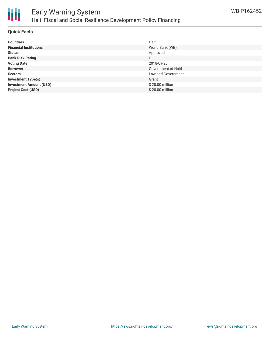

### Early Warning System Haiti Fiscal and Social Resilience Development Policy Financing

#### **Quick Facts**

| <b>Countries</b>               | Haiti               |
|--------------------------------|---------------------|
| <b>Financial Institutions</b>  | World Bank (WB)     |
| <b>Status</b>                  | Approved            |
| <b>Bank Risk Rating</b>        | U                   |
| <b>Voting Date</b>             | 2018-09-20          |
| <b>Borrower</b>                | Government of Haiti |
| <b>Sectors</b>                 | Law and Government  |
| <b>Investment Type(s)</b>      | Grant               |
| <b>Investment Amount (USD)</b> | \$20.00 million     |
| <b>Project Cost (USD)</b>      | \$20.00 million     |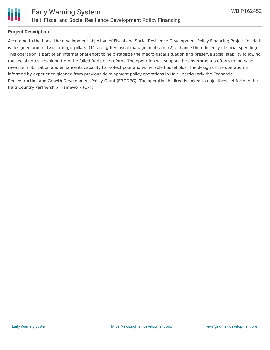

#### **Project Description**

According to the bank, the development objective of Fiscal and Social Resilience Development Policy Financing Project for Haiti is designed around two strategic pillars: (1) strengthen fiscal management; and (2) enhance the efficiency of social spending. This operation is part of an international effort to help stabilize the macro-fiscal situation and preserve social stability following the social unrest resulting from the failed fuel price reform. The operation will support the government's efforts to increase revenue mobilization and enhance its capacity to protect poor and vulnerable households. The design of the operation is informed by experience gleaned from previous development policy operations in Haiti, particularly the Economic Reconstruction and Growth Development Policy Grant (ERGDPG). The operation is directly linked to objectives set forth in the Haiti Country Partnership Framework (CPF)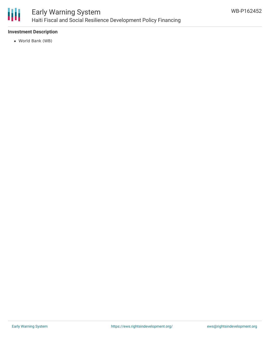

#### **Investment Description**

World Bank (WB)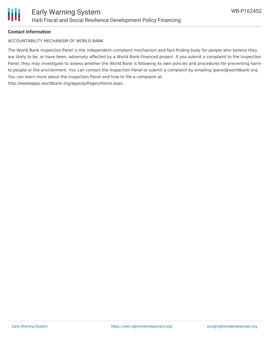

#### **Contact Information**

ACCOUNTABILITY MECHANISM OF WORLD BANK

The World Bank Inspection Panel is the independent complaint mechanism and fact-finding body for people who believe they are likely to be, or have been, adversely affected by a World Bank-financed project. If you submit a complaint to the Inspection Panel, they may investigate to assess whether the World Bank is following its own policies and procedures for preventing harm to people or the environment. You can contact the Inspection Panel or submit a complaint by emailing ipanel@worldbank.org. You can learn more about the Inspection Panel and how to file a complaint at: http://ewebapps.worldbank.org/apps/ip/Pages/Home.aspx.